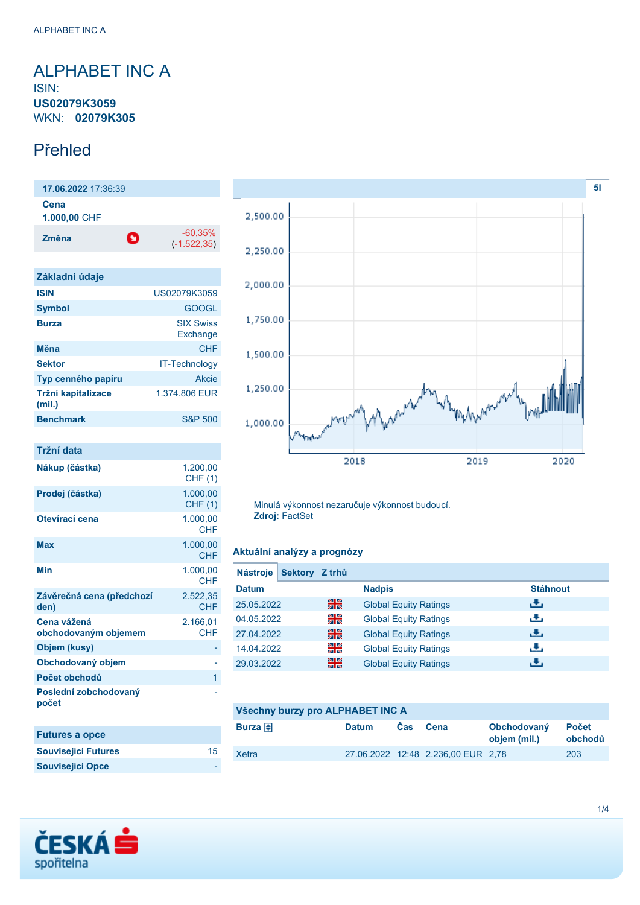## <span id="page-0-0"></span>ALPHABET INC A ISIN: **US02079K3059** WKN: **02079K305**

## Přehled

**17.06.2022** 17:36:39 **Cena 1.000,00** CHF **Změna** -60,35% (-1.522,35)

| Základní údaje               |                              |
|------------------------------|------------------------------|
| <b>ISIN</b>                  | US02079K3059                 |
| <b>Symbol</b>                | GOOGL                        |
| <b>Burza</b>                 | <b>SIX Swiss</b><br>Exchange |
| Měna                         | CHF                          |
| <b>Sektor</b>                | <b>IT-Technology</b>         |
| Typ cenného papíru           | Akcie                        |
| Tržní kapitalizace<br>(mil.) | 1.374,806 EUR                |
| <b>Benchmark</b>             | <b>S&amp;P 500</b>           |

| Tržní data                          |                            |
|-------------------------------------|----------------------------|
| Nákup (částka)                      | 1.200.00<br><b>CHF (1)</b> |
| Prodej (částka)                     | 1.000,00<br><b>CHF (1)</b> |
| Otevírací cena                      | 1.000,00<br><b>CHF</b>     |
| <b>Max</b>                          | 1.000,00<br><b>CHF</b>     |
| <b>Min</b>                          | 1.000,00<br><b>CHF</b>     |
| Závěrečná cena (předchozí<br>den)   | 2.522,35<br><b>CHF</b>     |
| Cena vážená<br>obchodovaným objemem | 2.166,01<br><b>CHF</b>     |
| Objem (kusy)                        |                            |
| Obchodovaný objem                   |                            |
| Počet obchodů                       | 1                          |
| Poslední zobchodovaný<br>počet      |                            |
| <b>Futures a opce</b>               |                            |
| <b>Související Futures</b>          | 15                         |
| <b>Související Opce</b>             |                            |



Minulá výkonnost nezaručuje výkonnost budoucí. **Zdroj:** FactSet

### **Aktuální analýzy a prognózy**

| Sektory Z trhů<br><b>Nástroje</b> |    |                              |                 |
|-----------------------------------|----|------------------------------|-----------------|
| <b>Datum</b>                      |    | <b>Nadpis</b>                | <b>Stáhnout</b> |
| 25.05.2022                        | 읡쭍 | <b>Global Equity Ratings</b> | رالى            |
| 04.05.2022                        | 읡  | <b>Global Equity Ratings</b> | رنان            |
| 27.04.2022                        | 읡ć | <b>Global Equity Ratings</b> | رالى            |
| 14.04.2022                        | 읡  | <b>Global Equity Ratings</b> | æ,              |
| 29.03.2022                        | 꾊  | <b>Global Equity Ratings</b> | æ,              |

| Všechny burzy pro ALPHABET INC A |              |      |                                    |                             |                         |
|----------------------------------|--------------|------|------------------------------------|-----------------------------|-------------------------|
| Burza $\bigoplus$                | <b>Datum</b> | Cas. | Cena                               | Obchodovaný<br>objem (mil.) | <b>Počet</b><br>obchodů |
| Xetra                            |              |      | 27.06.2022 12:48 2.236.00 EUR 2.78 |                             | 203                     |

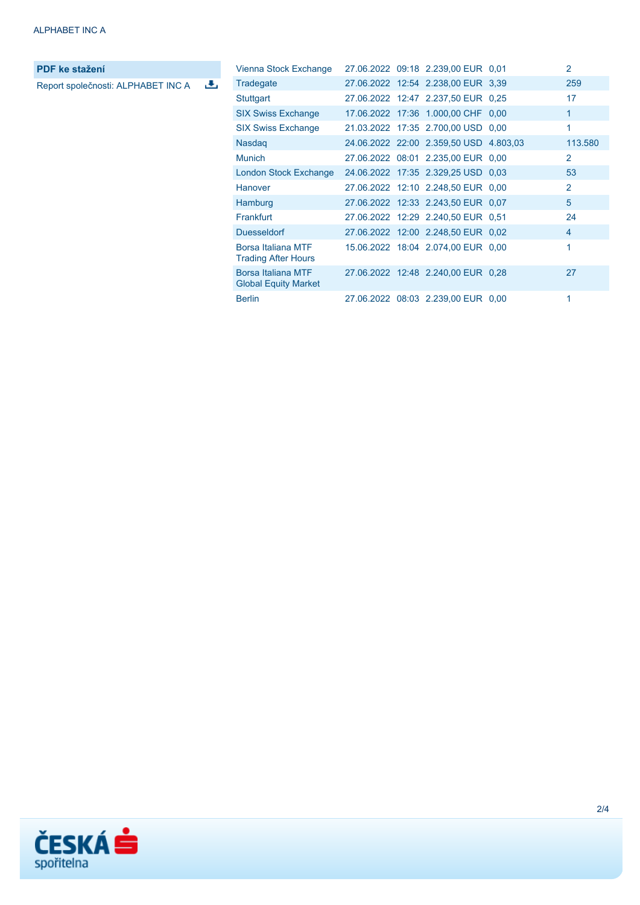**PDF ke stažení**

Report společnosti: ALPHABET INC A

| Vienna Stock Exchange                             |  | 27.06.2022 09:18 2.239,00 EUR 0.01     | 2              |
|---------------------------------------------------|--|----------------------------------------|----------------|
| Tradegate                                         |  | 27.06.2022 12:54 2.238,00 EUR 3,39     | 259            |
| <b>Stuttgart</b>                                  |  | 27.06.2022 12:47 2.237,50 EUR 0.25     | 17             |
| <b>SIX Swiss Exchange</b>                         |  | 17.06.2022 17:36 1.000,00 CHF 0,00     | $\mathbf{1}$   |
| <b>SIX Swiss Exchange</b>                         |  | 21.03.2022 17:35 2.700,00 USD 0,00     | 1              |
| <b>Nasdag</b>                                     |  | 24.06.2022 22:00 2.359,50 USD 4.803,03 | 113.580        |
| <b>Munich</b>                                     |  | 27.06.2022 08:01 2.235,00 EUR 0,00     | 2              |
| London Stock Exchange                             |  | 24.06.2022 17:35 2.329,25 USD 0.03     | 53             |
| Hanover                                           |  | 27.06.2022 12:10 2.248,50 EUR 0,00     | $\overline{2}$ |
| Hamburg                                           |  | 27.06.2022 12:33 2.243,50 EUR 0.07     | 5              |
| Frankfurt                                         |  | 27.06.2022 12:29 2.240,50 EUR 0.51     | 24             |
| <b>Duesseldorf</b>                                |  | 27.06.2022 12:00 2.248,50 EUR 0.02     | $\overline{4}$ |
| Borsa Italiana MTF<br><b>Trading After Hours</b>  |  | 15.06.2022 18:04 2.074,00 EUR 0,00     | 1              |
| Borsa Italiana MTF<br><b>Global Equity Market</b> |  | 27.06.2022 12:48 2.240,00 EUR 0,28     | 27             |
| <b>Berlin</b>                                     |  | 27.06.2022 08:03 2.239,00 EUR 0,00     | 1              |

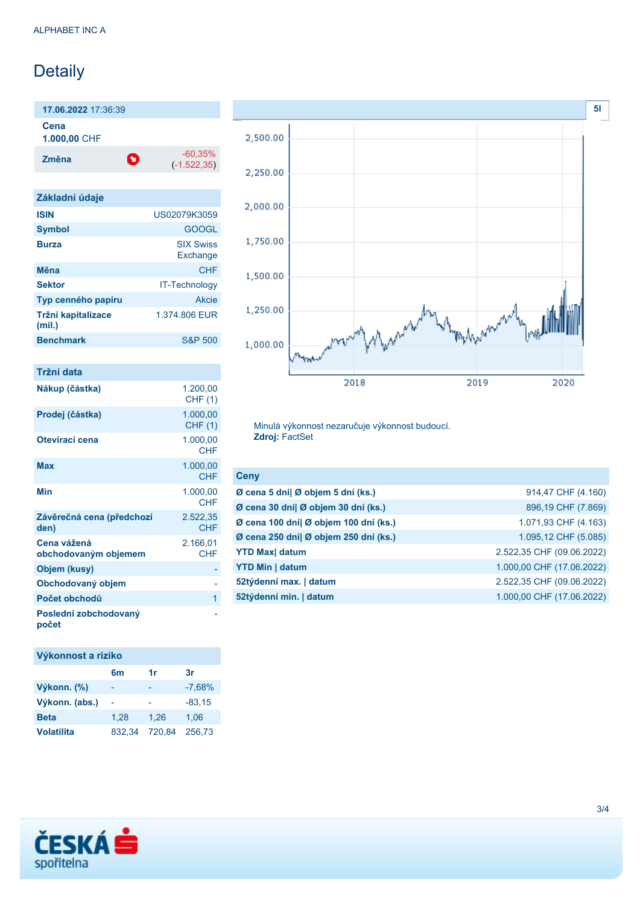## Detaily

**17.06.2022** 17:36:39 **Cena**

**1.000,00** CHF

**Změna** -60,35% -60,35%

(-1.522,35)

| Základní údaje               |                              |
|------------------------------|------------------------------|
| <b>ISIN</b>                  | US02079K3059                 |
| <b>Symbol</b>                | <b>GOOGL</b>                 |
| <b>Burza</b>                 | <b>SIX Swiss</b><br>Exchange |
| Měna                         | CHF                          |
| <b>Sektor</b>                | <b>IT-Technology</b>         |
| Typ cenného papíru           | Akcie                        |
| Tržní kapitalizace<br>(mil.) | 1.374,806 EUR                |
| <b>Benchmark</b>             | <b>S&amp;P 500</b>           |
|                              |                              |

| Tržní data                          |                            |
|-------------------------------------|----------------------------|
| Nákup (částka)                      | 1.200,00<br><b>CHF (1)</b> |
| Prodej (částka)                     | 1.000,00<br><b>CHF (1)</b> |
| Otevírací cena                      | 1.000,00<br>CHF            |
| Max                                 | 1.000,00<br><b>CHF</b>     |
| Min                                 | 1.000,00<br><b>CHF</b>     |
| Závěrečná cena (předchozí<br>den)   | 2.522,35<br>CHF            |
| Cena vážená<br>obchodovaným objemem | 2.166,01<br><b>CHF</b>     |
| Objem (kusy)                        |                            |
| Obchodovaný objem                   |                            |
| Počet obchodů                       | 1                          |
| Poslední zobchodovaný<br>počet      |                            |

## **Výkonnost a riziko**

|                   | 6m     | 1r     | 3r       |
|-------------------|--------|--------|----------|
| Výkonn. (%)       |        | -      | $-7,68%$ |
| Výkonn. (abs.)    |        |        | $-83.15$ |
| <b>Beta</b>       | 1.28   | 1.26   | 1.06     |
| <b>Volatilita</b> | 832.34 | 720.84 | 256.73   |



Minulá výkonnost nezaručuje výkonnost budoucí. **Zdroj:** FactSet

| <b>Ceny</b>                           |                           |
|---------------------------------------|---------------------------|
| Ø cena 5 dní  Ø objem 5 dní (ks.)     | 914,47 CHF (4.160)        |
| Ø cena 30 dní  Ø objem 30 dní (ks.)   | 896,19 CHF (7.869)        |
| Ø cena 100 dní  Ø objem 100 dní (ks.) | 1.071,93 CHF (4.163)      |
| Ø cena 250 dní  Ø objem 250 dní (ks.) | 1.095,12 CHF (5.085)      |
| <b>YTD Max</b> datum                  | 2.522,35 CHF (09.06.2022) |
| <b>YTD Min   datum</b>                | 1.000,00 CHF (17.06.2022) |
| 52týdenní max.   datum                | 2.522,35 CHF (09.06.2022) |
| 52týdenní min.   datum                | 1.000,00 CHF (17.06.2022) |